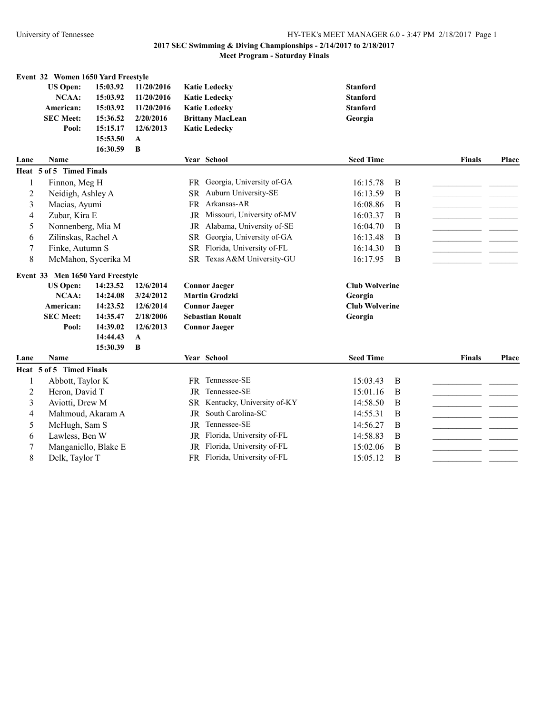|                | Event 32 Women 1650 Yard Freestyle     |                      |                        |                                                                    |                                |               |       |
|----------------|----------------------------------------|----------------------|------------------------|--------------------------------------------------------------------|--------------------------------|---------------|-------|
|                | <b>US Open:</b>                        | 15:03.92             | 11/20/2016             | <b>Katie Ledecky</b>                                               | <b>Stanford</b>                |               |       |
|                | <b>NCAA:</b>                           | 15:03.92             | 11/20/2016             | <b>Katie Ledecky</b>                                               | <b>Stanford</b>                |               |       |
|                | American:                              | 15:03.92             | 11/20/2016             | <b>Katie Ledecky</b>                                               | <b>Stanford</b>                |               |       |
|                | <b>SEC Meet:</b>                       | 15:36.52             | 2/20/2016              | <b>Brittany MacLean</b>                                            | Georgia                        |               |       |
|                | Pool:                                  | 15:15.17             | 12/6/2013              | <b>Katic Ledecky</b>                                               |                                |               |       |
|                |                                        | 15:53.50             | A                      |                                                                    |                                |               |       |
|                |                                        | 16:30.59             | B                      |                                                                    |                                |               |       |
| Lane           | <b>Name</b>                            |                      |                        | Year School                                                        | <b>Seed Time</b>               | <b>Finals</b> | Place |
|                | Heat 5 of 5 Timed Finals               |                      |                        |                                                                    |                                |               |       |
| 1              | Finnon, Meg H                          |                      |                        | FR Georgia, University of-GA                                       | 16:15.78<br>B                  |               |       |
| $\overline{2}$ | Neidigh, Ashley A                      |                      |                        | Auburn University-SE<br><b>SR</b>                                  | 16:13.59<br>B                  |               |       |
| 3              | Macias, Ayumi                          |                      |                        | Arkansas-AR<br><b>FR</b>                                           | 16:08.86<br>B                  |               |       |
| 4              | Zubar, Kira E                          |                      |                        | JR Missouri, University of-MV                                      | 16:03.37<br>B                  |               |       |
| 5              | Nonnenberg, Mia M                      |                      |                        | Alabama, University of-SE<br><b>JR</b>                             | 16:04.70<br>B                  |               |       |
| 6              | Zilinskas, Rachel A                    |                      |                        | Georgia, University of-GA<br><b>SR</b>                             | 16:13.48<br>B                  |               |       |
| 7              | Finke, Autumn S                        |                      |                        | Florida, University of-FL<br><b>SR</b>                             | 16:14.30<br>B                  |               |       |
| $\,$ $\,$      | McMahon, Sycerika M                    |                      |                        | SR Texas A&M University-GU                                         | 16:17.95<br>B                  |               |       |
|                |                                        |                      |                        |                                                                    |                                |               |       |
|                | Event 33 Men 1650 Yard Freestyle       |                      |                        |                                                                    |                                |               |       |
|                | <b>US Open:</b><br><b>NCAA:</b>        | 14:23.52<br>14:24.08 | 12/6/2014<br>3/24/2012 | <b>Connor Jaeger</b><br><b>Martin Grodzki</b>                      | <b>Club Wolverine</b>          |               |       |
|                |                                        |                      |                        | <b>Connor Jaeger</b>                                               | Georgia                        |               |       |
|                |                                        |                      |                        |                                                                    |                                |               |       |
|                | American:                              | 14:23.52             | 12/6/2014              |                                                                    | <b>Club Wolverine</b>          |               |       |
|                | <b>SEC Meet:</b>                       | 14:35.47             | 2/18/2006              | <b>Sebastian Roualt</b>                                            | Georgia                        |               |       |
|                | Pool:                                  | 14:39.02             | 12/6/2013              | <b>Connor Jaeger</b>                                               |                                |               |       |
|                |                                        | 14:44.43             | $\mathbf{A}$           |                                                                    |                                |               |       |
|                |                                        | 15:30.39             | B                      |                                                                    |                                |               |       |
| Lane           | <b>Name</b>                            |                      |                        | Year School                                                        | <b>Seed Time</b>               | <b>Finals</b> | Place |
|                | Heat 5 of 5 Timed Finals               |                      |                        |                                                                    |                                |               |       |
| 1              | Abbott, Taylor K                       |                      |                        | FR Tennessee-SE                                                    | 15:03.43<br>B                  |               |       |
| $\overline{2}$ | Heron, David T                         |                      |                        | Tennessee-SE<br><b>JR</b>                                          | 15:01.16<br>B                  |               |       |
| 3              | Aviotti, Drew M                        |                      |                        | SR Kentucky, University of-KY                                      | 14:58.50<br>B                  |               |       |
| 4              | Mahmoud, Akaram A                      |                      |                        | South Carolina-SC<br><b>JR</b>                                     | 14:55.31<br>B                  |               |       |
| 5              | McHugh, Sam S                          |                      |                        | Tennessee-SE<br><b>JR</b>                                          | 14:56.27<br>$\bf{B}$           |               |       |
| 6<br>7         | Lawless, Ben W<br>Manganiello, Blake E |                      |                        | Florida, University of-FL<br>JR<br>Florida, University of-FL<br>JR | 14:58.83<br>B<br>15:02.06<br>B |               |       |
|                |                                        |                      |                        |                                                                    |                                |               |       |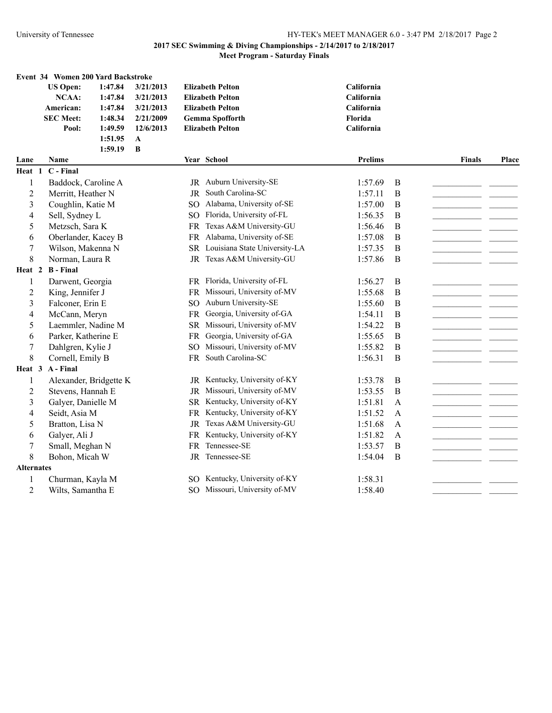|                   |                   | Event 34 Women 200 Yard Backstroke |              |           |                                  |                |                |               |       |
|-------------------|-------------------|------------------------------------|--------------|-----------|----------------------------------|----------------|----------------|---------------|-------|
|                   | <b>US Open:</b>   | 1:47.84                            | 3/21/2013    |           | <b>Elizabeth Pelton</b>          | California     |                |               |       |
|                   | <b>NCAA:</b>      | 1:47.84                            | 3/21/2013    |           | <b>Elizabeth Pelton</b>          | California     |                |               |       |
|                   | American:         | 1:47.84                            | 3/21/2013    |           | <b>Elizabeth Pelton</b>          | California     |                |               |       |
|                   | <b>SEC Meet:</b>  | 1:48.34                            | 2/21/2009    |           | <b>Gemma Spofforth</b>           | Florida        |                |               |       |
|                   | Pool:             | 1:49.59                            | 12/6/2013    |           | <b>Elizabeth Pelton</b>          | California     |                |               |       |
|                   |                   | 1:51.95                            | $\mathbf{A}$ |           |                                  |                |                |               |       |
|                   |                   | 1:59.19                            | B            |           |                                  |                |                |               |       |
| Lane              | Name              |                                    |              |           | Year School                      | <b>Prelims</b> |                | <b>Finals</b> | Place |
| Heat 1            | C - Final         |                                    |              |           |                                  |                |                |               |       |
| 1                 |                   | Baddock, Caroline A                |              |           | JR Auburn University-SE          | 1:57.69        | B              |               |       |
| 2                 |                   | Merritt, Heather N                 |              |           | JR South Carolina-SC             | 1:57.11        | $\bf{B}$       |               |       |
| 3                 |                   | Coughlin, Katie M                  |              |           | SO Alabama, University of-SE     | 1:57.00        | B              |               |       |
| 4                 | Sell, Sydney L    |                                    |              | SO.       | Florida, University of-FL        | 1:56.35        | B              |               |       |
| 5                 | Metzsch, Sara K   |                                    |              | <b>FR</b> | Texas A&M University-GU          | 1:56.46        | B              |               |       |
| 6                 |                   | Oberlander, Kacey B                |              | FR        | Alabama, University of-SE        | 1:57.08        | $\overline{B}$ |               |       |
| 7                 |                   | Wilson, Makenna N                  |              |           | SR Louisiana State University-LA | 1:57.35        | B              |               |       |
| 8                 | Norman, Laura R   |                                    |              |           | JR Texas A&M University-GU       | 1:57.86        | B              |               |       |
| Heat 2            | <b>B</b> - Final  |                                    |              |           |                                  |                |                |               |       |
| 1                 | Darwent, Georgia  |                                    |              |           | FR Florida, University of-FL     | 1:56.27        | B              |               |       |
| 2                 | King, Jennifer J  |                                    |              |           | FR Missouri, University of-MV    | 1:55.68        | B              |               |       |
| 3                 | Falconer, Erin E  |                                    |              | SO.       | Auburn University-SE             | 1:55.60        | B              |               |       |
| 4                 | McCann, Meryn     |                                    |              | <b>FR</b> | Georgia, University of-GA        | 1:54.11        | B              |               |       |
| 5                 |                   | Laemmler, Nadine M                 |              |           | SR Missouri, University of-MV    | 1:54.22        | B              |               |       |
| 6                 |                   | Parker, Katherine E                |              |           | FR Georgia, University of-GA     | 1:55.65        | B              |               |       |
| 7                 | Dahlgren, Kylie J |                                    |              | SO.       | Missouri, University of-MV       | 1:55.82        | B              |               |       |
| 8                 | Cornell, Emily B  |                                    |              |           | FR South Carolina-SC             | 1:56.31        | B              |               |       |
| Heat 3            | A - Final         |                                    |              |           |                                  |                |                |               |       |
| 1                 |                   | Alexander, Bridgette K             |              |           | JR Kentucky, University of-KY    | 1:53.78        | B              |               |       |
| 2                 |                   | Stevens, Hannah E                  |              |           | JR Missouri, University of-MV    | 1:53.55        | B              |               |       |
| 3                 |                   | Galyer, Danielle M                 |              | <b>SR</b> | Kentucky, University of-KY       | 1:51.81        | $\mathbf{A}$   |               |       |
| 4                 | Seidt, Asia M     |                                    |              | FR        | Kentucky, University of-KY       | 1:51.52        | A              |               |       |
| 5                 | Bratton, Lisa N   |                                    |              | JR        | Texas A&M University-GU          | 1:51.68        | A              |               |       |
| 6                 | Galyer, Ali J     |                                    |              | <b>FR</b> | Kentucky, University of-KY       | 1:51.82        | $\mathbf{A}$   |               |       |
| 7                 | Small, Meghan N   |                                    |              |           | FR Tennessee-SE                  | 1:53.57        | B              |               |       |
| 8                 | Bohon, Micah W    |                                    |              |           | JR Tennessee-SE                  | 1:54.04        | B              |               |       |
| <b>Alternates</b> |                   |                                    |              |           |                                  |                |                |               |       |
| 1                 |                   | Churman, Kayla M                   |              |           | SO Kentucky, University of-KY    | 1:58.31        |                |               |       |
| $\overline{2}$    |                   | Wilts, Samantha E                  |              |           | SO Missouri, University of-MV    | 1:58.40        |                |               |       |
|                   |                   |                                    |              |           |                                  |                |                |               |       |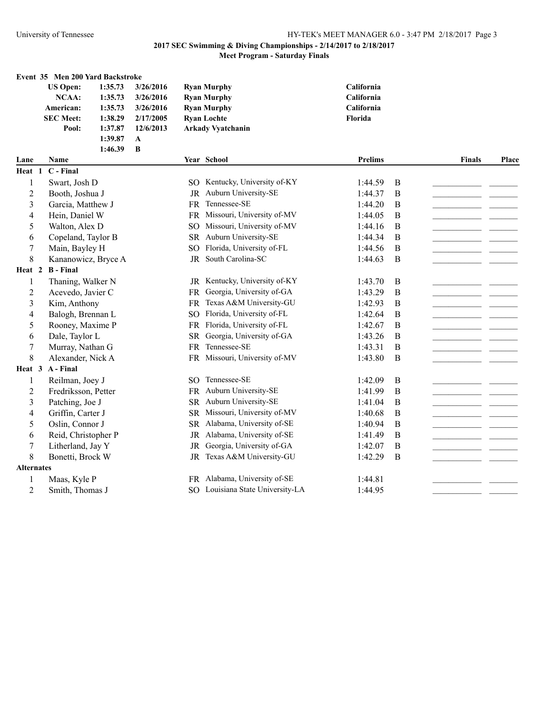#### **Event 35 Men 200 Yard Backstroke**

| <b>US Open:</b>  | 1:35.73 | 3/26/2016 | <b>Ryan Murphy</b>       | <b>California</b> |
|------------------|---------|-----------|--------------------------|-------------------|
| NCAA:            | 1:35.73 | 3/26/2016 | <b>Ryan Murphy</b>       | California        |
| American:        | 1:35.73 | 3/26/2016 | <b>Ryan Murphy</b>       | <b>California</b> |
| <b>SEC Meet:</b> | 1:38.29 | 2/17/2005 | <b>Ryan Lochte</b>       | <b>Florida</b>    |
| Pool:            | 1:37.87 | 12/6/2013 | <b>Arkady Vyatchanin</b> |                   |
|                  | 1:39.87 | A         |                          |                   |
|                  | 1:46.39 | - B       |                          |                   |

| California |
|------------|
| California |
| California |
| Florida    |
|            |

| Lane              | <b>Name</b>         |               | Year School                      | <b>Prelims</b> |   | <b>Finals</b> | Place |
|-------------------|---------------------|---------------|----------------------------------|----------------|---|---------------|-------|
| Heat 1            | C - Final           |               |                                  |                |   |               |       |
| 1                 | Swart, Josh D       |               | SO Kentucky, University of-KY    | 1:44.59        | B |               |       |
| $\overline{2}$    | Booth, Joshua J     | <b>JR</b>     | Auburn University-SE             | 1:44.37        | В |               |       |
| $\overline{3}$    | Garcia, Matthew J   | <b>FR</b>     | Tennessee-SE                     | 1:44.20        | B |               |       |
| 4                 | Hein, Daniel W      | <b>FR</b>     | Missouri, University of-MV       | 1:44.05        | B |               |       |
| 5                 | Walton, Alex D      | <b>SO</b>     | Missouri, University of-MV       | 1:44.16        | B |               |       |
| 6                 | Copeland, Taylor B  | <b>SR</b>     | Auburn University-SE             | 1:44.34        | B |               |       |
| 7                 | Main, Bayley H      | <sub>SO</sub> | Florida, University of-FL        | 1:44.56        | B |               |       |
| 8                 | Kananowicz, Bryce A | JR            | South Carolina-SC                | 1:44.63        | B |               |       |
| Heat 2            | <b>B</b> - Final    |               |                                  |                |   |               |       |
|                   | Thaning, Walker N   |               | JR Kentucky, University of-KY    | 1:43.70        | B |               |       |
| $\overline{2}$    | Acevedo, Javier C   | <b>FR</b>     | Georgia, University of-GA        | 1:43.29        | B |               |       |
| $\overline{3}$    | Kim, Anthony        | FR.           | Texas A&M University-GU          | 1:42.93        | B |               |       |
| 4                 | Balogh, Brennan L   | SO.           | Florida, University of-FL        | 1:42.64        | B |               |       |
| 5                 | Rooney, Maxime P    | <b>FR</b>     | Florida, University of-FL        | 1:42.67        | B |               |       |
| 6                 | Dale, Taylor L      | <b>SR</b>     | Georgia, University of-GA        | 1:43.26        | B |               |       |
| 7                 | Murray, Nathan G    | <b>FR</b>     | Tennessee-SE                     | 1:43.31        | B |               |       |
| 8                 | Alexander, Nick A   | FR.           | Missouri, University of-MV       | 1:43.80        | B |               |       |
| Heat 3            | A - Final           |               |                                  |                |   |               |       |
|                   | Reilman, Joey J     | SO.           | Tennessee-SE                     | 1:42.09        | B |               |       |
| 2                 | Fredriksson, Petter | <b>FR</b>     | Auburn University-SE             | 1:41.99        | B |               |       |
| 3                 | Patching, Joe J     | <b>SR</b>     | Auburn University-SE             | 1:41.04        | B |               |       |
| 4                 | Griffin, Carter J   | <b>SR</b>     | Missouri, University of-MV       | 1:40.68        | B |               |       |
| 5                 | Oslin, Connor J     | <b>SR</b>     | Alabama, University of-SE        | 1:40.94        | B |               |       |
| 6                 | Reid, Christopher P | <b>JR</b>     | Alabama, University of-SE        | 1:41.49        | B |               |       |
| 7                 | Litherland, Jay Y   | <b>JR</b>     | Georgia, University of-GA        | 1:42.07        | B |               |       |
| 8                 | Bonetti, Brock W    | <b>JR</b>     | Texas A&M University-GU          | 1:42.29        | B |               |       |
| <b>Alternates</b> |                     |               |                                  |                |   |               |       |
| 1                 | Maas, Kyle P        |               | FR Alabama, University of-SE     | 1:44.81        |   |               |       |
| $\overline{c}$    | Smith, Thomas J     |               | SO Louisiana State University-LA | 1:44.95        |   |               |       |
|                   |                     |               |                                  |                |   |               |       |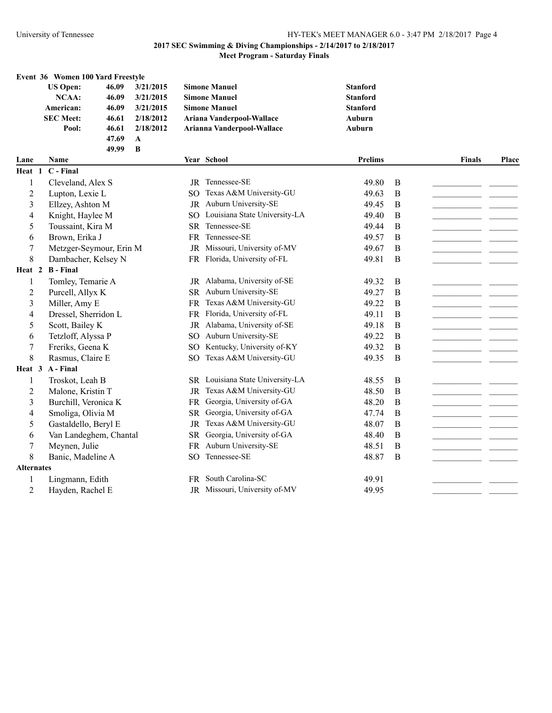## University of Tennessee HY-TEK's MEET MANAGER 6.0 - 3:47 PM 2/18/2017 Page 4

# **2017 SEC Swimming & Diving Championships - 2/14/2017 to 2/18/2017**

# **Meet Program - Saturday Finals**

|      | Event 36 Women 100 Yard Freestyle |       |           |                            |                 |
|------|-----------------------------------|-------|-----------|----------------------------|-----------------|
|      | <b>US Open:</b>                   | 46.09 | 3/21/2015 | <b>Simone Manuel</b>       | <b>Stanford</b> |
|      | NCAA:                             | 46.09 | 3/21/2015 | <b>Simone Manuel</b>       | <b>Stanford</b> |
|      | American:                         | 46.09 | 3/21/2015 | <b>Simone Manuel</b>       | <b>Stanford</b> |
|      | <b>SEC Meet:</b>                  | 46.61 | 2/18/2012 | Ariana Vanderpool-Wallace  | <b>Auburn</b>   |
|      | Pool:                             | 46.61 | 2/18/2012 | Arianna Vanderpool-Wallace | <b>Auburn</b>   |
|      |                                   | 47.69 | A         |                            |                 |
|      |                                   | 49.99 | B         |                            |                 |
| Lane | <b>Name</b>                       |       |           | <b>Year School</b>         | Prelii          |

| Lane              | <b>Name</b>             |                 | Year School                   | <b>Prelims</b> |   | <b>Finals</b> | <b>Place</b> |
|-------------------|-------------------------|-----------------|-------------------------------|----------------|---|---------------|--------------|
| Heat 1            | C - Final               |                 |                               |                |   |               |              |
| 1                 | Cleveland, Alex S       | JR              | Tennessee-SE                  | 49.80          | B |               |              |
| $\overline{2}$    | Lupton, Lexie L         | SO.             | Texas A&M University-GU       | 49.63          | B |               |              |
| 3                 | Ellzey, Ashton M        | <b>JR</b>       | Auburn University-SE          | 49.45          | B |               |              |
| 4                 | Knight, Haylee M        | SO.             | Louisiana State University-LA | 49.40          | B |               |              |
| 5                 | Toussaint, Kira M       | <b>SR</b>       | Tennessee-SE                  | 49.44          | B |               |              |
| 6                 | Brown, Erika J          | <b>FR</b>       | Tennessee-SE                  | 49.57          | B |               |              |
| 7                 | Metzger-Seymour, Erin M | <b>JR</b>       | Missouri, University of-MV    | 49.67          | B |               |              |
| 8                 | Dambacher, Kelsey N     | FR              | Florida, University of-FL     | 49.81          | B |               |              |
| Heat 2            | <b>B</b> - Final        |                 |                               |                |   |               |              |
| 1                 | Tomley, Temarie A       |                 | JR Alabama, University of-SE  | 49.32          | B |               |              |
| $\overline{2}$    | Purcell, Allyx K        | <b>SR</b>       | Auburn University-SE          | 49.27          | B |               |              |
| 3                 | Miller, Amy E           | <b>FR</b>       | Texas A&M University-GU       | 49.22          | B |               |              |
| 4                 | Dressel, Sherridon L    | <b>FR</b>       | Florida, University of-FL     | 49.11          | B |               |              |
| 5                 | Scott, Bailey K         | JR.             | Alabama, University of-SE     | 49.18          | B |               |              |
| 6                 | Tetzloff, Alyssa P      | SO.             | Auburn University-SE          | 49.22          | B |               |              |
| $\sqrt{ }$        | Freriks, Geena K        | SO <sub>1</sub> | Kentucky, University of-KY    | 49.32          | B |               |              |
| 8                 | Rasmus, Claire E        | <sub>SO</sub>   | Texas A&M University-GU       | 49.35          | B |               |              |
| Heat 3            | A - Final               |                 |                               |                |   |               |              |
| 1                 | Troskot, Leah B         | SR.             | Louisiana State University-LA | 48.55          | B |               |              |
| $\overline{c}$    | Malone, Kristin T       | JR              | Texas A&M University-GU       | 48.50          | B |               |              |
| 3                 | Burchill, Veronica K    | FR              | Georgia, University of-GA     | 48.20          | B |               |              |
| 4                 | Smoliga, Olivia M       | <b>SR</b>       | Georgia, University of-GA     | 47.74          | B |               |              |
| 5                 | Gastaldello, Beryl E    | JR              | Texas A&M University-GU       | 48.07          | B |               |              |
| 6                 | Van Landeghem, Chantal  | <b>SR</b>       | Georgia, University of-GA     | 48.40          | B |               |              |
| 7                 | Meynen, Julie           | FR              | Auburn University-SE          | 48.51          | B |               |              |
| 8                 | Banic, Madeline A       | SO.             | Tennessee-SE                  | 48.87          | B |               |              |
| <b>Alternates</b> |                         |                 |                               |                |   |               |              |
| 1                 | Lingmann, Edith         |                 | FR South Carolina-SC          | 49.91          |   |               |              |
| $\overline{2}$    | Hayden, Rachel E        |                 | JR Missouri, University of-MV | 49.95          |   |               |              |
|                   |                         |                 |                               |                |   |               |              |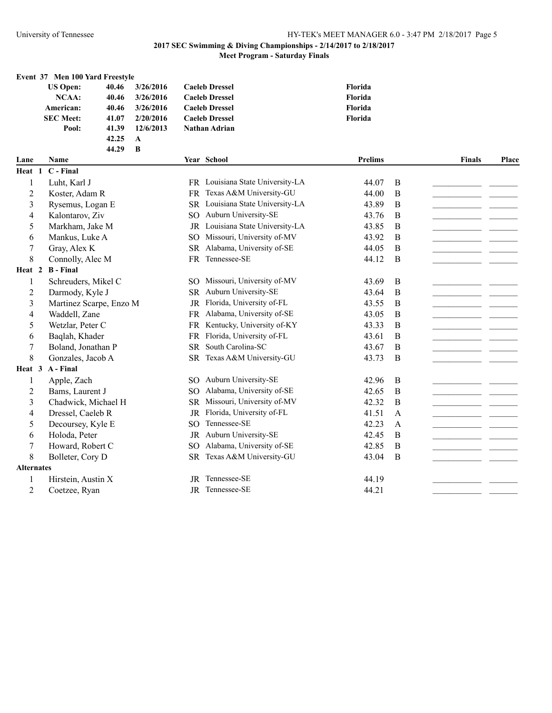**Event 37 Men 100 Yard Freestyle**

## University of Tennessee HY-TEK's MEET MANAGER 6.0 - 3:47 PM 2/18/2017 Page 5

# **2017 SEC Swimming & Diving Championships - 2/14/2017 to 2/18/2017**

# **Meet Program - Saturday Finals**

|                   | <b>US Open:</b>         | 40.46 | 3/26/2016 |                 | <b>Caeleb Dressel</b>            | Florida        |              |               |       |
|-------------------|-------------------------|-------|-----------|-----------------|----------------------------------|----------------|--------------|---------------|-------|
|                   | NCAA:                   | 40.46 | 3/26/2016 |                 | <b>Caeleb Dressel</b>            | Florida        |              |               |       |
|                   | American:               | 40.46 | 3/26/2016 |                 | <b>Caeleb Dressel</b>            | Florida        |              |               |       |
|                   | <b>SEC Meet:</b>        | 41.07 | 2/20/2016 |                 | <b>Caeleb Dressel</b>            | Florida        |              |               |       |
|                   | Pool:                   | 41.39 | 12/6/2013 |                 | <b>Nathan Adrian</b>             |                |              |               |       |
|                   |                         | 42.25 | A         |                 |                                  |                |              |               |       |
|                   |                         | 44.29 | B         |                 |                                  |                |              |               |       |
| Lane              | <b>Name</b>             |       |           |                 | Year School                      | <b>Prelims</b> |              | <b>Finals</b> | Place |
|                   | Heat 1 C - Final        |       |           |                 |                                  |                |              |               |       |
| 1                 | Luht, Karl J            |       |           |                 | FR Louisiana State University-LA | 44.07          | B            |               |       |
| 2                 | Koster, Adam R          |       |           |                 | FR Texas A&M University-GU       | 44.00          | B            |               |       |
| 3                 | Rysemus, Logan E        |       |           |                 | SR Louisiana State University-LA | 43.89          | B            |               |       |
| 4                 | Kalontarov, Ziv         |       |           | SO <sub>1</sub> | Auburn University-SE             | 43.76          | B            |               |       |
| 5                 | Markham, Jake M         |       |           |                 | JR Louisiana State University-LA | 43.85          | B            |               |       |
| 6                 | Mankus, Luke A          |       |           | SO.             | Missouri, University of-MV       | 43.92          | B            |               |       |
| 7                 | Gray, Alex K            |       |           | <b>SR</b>       | Alabama, University of-SE        | 44.05          | B            |               |       |
| 8                 | Connolly, Alec M        |       |           | <b>FR</b>       | Tennessee-SE                     | 44.12          | B            |               |       |
|                   | Heat 2 B - Final        |       |           |                 |                                  |                |              |               |       |
| 1                 | Schreuders, Mikel C     |       |           |                 | SO Missouri, University of-MV    | 43.69          | $\bf{B}$     |               |       |
| 2                 | Darmody, Kyle J         |       |           |                 | SR Auburn University-SE          | 43.64          | B            |               |       |
| 3                 | Martinez Scarpe, Enzo M |       |           |                 | JR Florida, University of-FL     | 43.55          | B            |               |       |
| 4                 | Waddell, Zane           |       |           |                 | FR Alabama, University of-SE     | 43.05          | B            |               |       |
| 5                 | Wetzlar, Peter C        |       |           |                 | FR Kentucky, University of-KY    | 43.33          | B            |               |       |
| 6                 | Baqlah, Khader          |       |           |                 | FR Florida, University of-FL     | 43.61          | B            |               |       |
| 7                 | Boland, Jonathan P      |       |           |                 | SR South Carolina-SC             | 43.67          | $\mathbf B$  |               |       |
| 8                 | Gonzales, Jacob A       |       |           |                 | SR Texas A&M University-GU       | 43.73          | B            |               |       |
|                   | Heat 3 A-Final          |       |           |                 |                                  |                |              |               |       |
| 1                 | Apple, Zach             |       |           | SO.             | Auburn University-SE             | 42.96          | $\bf{B}$     |               |       |
| 2                 | Bams, Laurent J         |       |           | SO <sub>2</sub> | Alabama, University of-SE        | 42.65          | B            |               |       |
| 3                 | Chadwick, Michael H     |       |           |                 | SR Missouri, University of-MV    | 42.32          | B            |               |       |
| 4                 | Dressel, Caeleb R       |       |           |                 | JR Florida, University of-FL     | 41.51          | $\mathbf{A}$ |               |       |
| 5                 | Decoursey, Kyle E       |       |           | SO <sub>1</sub> | Tennessee-SE                     | 42.23          | $\mathbf{A}$ |               |       |
| 6                 | Holoda, Peter           |       |           |                 | JR Auburn University-SE          | 42.45          | B            |               |       |
| 7                 | Howard, Robert C        |       |           | SO <sub>1</sub> | Alabama, University of-SE        | 42.85          | $\mathbf B$  |               |       |
| 8                 | Bolleter, Cory D        |       |           |                 | SR Texas A&M University-GU       | 43.04          | B            |               |       |
| <b>Alternates</b> |                         |       |           |                 |                                  |                |              |               |       |
|                   | Hirstein, Austin X      |       |           |                 | JR Tennessee-SE                  | 44.19          |              |               |       |
| 2                 | Coetzee, Ryan           |       |           |                 | <b>IR</b> Tennessee-SE           | 44.21          |              |               |       |
|                   |                         |       |           |                 |                                  |                |              |               |       |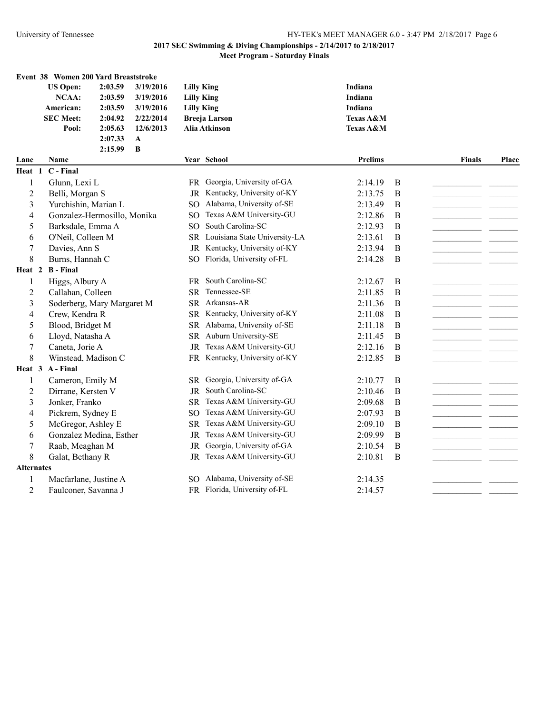|                   | Event 38 Women 200 Yard Breaststroke |         |           |                   |                                  |                      |              |               |       |
|-------------------|--------------------------------------|---------|-----------|-------------------|----------------------------------|----------------------|--------------|---------------|-------|
|                   | <b>US Open:</b>                      | 2:03.59 | 3/19/2016 | <b>Lilly King</b> |                                  | Indiana              |              |               |       |
|                   | <b>NCAA:</b>                         | 2:03.59 | 3/19/2016 | <b>Lilly King</b> |                                  | Indiana              |              |               |       |
|                   | American:                            | 2:03.59 | 3/19/2016 | <b>Lilly King</b> |                                  | Indiana              |              |               |       |
|                   | <b>SEC Meet:</b>                     | 2:04.92 | 2/22/2014 |                   | <b>Breeja Larson</b>             | <b>Texas A&amp;M</b> |              |               |       |
|                   | Pool:                                | 2:05.63 | 12/6/2013 |                   | Alia Atkinson                    | Texas A&M            |              |               |       |
|                   |                                      | 2:07.33 | A         |                   |                                  |                      |              |               |       |
|                   |                                      | 2:15.99 | $\bf{B}$  |                   |                                  |                      |              |               |       |
| Lane              | Name                                 |         |           |                   | Year School                      | <b>Prelims</b>       |              | <b>Finals</b> | Place |
| Heat 1            | C - Final                            |         |           |                   |                                  |                      |              |               |       |
| 1                 | Glunn, Lexi L                        |         |           |                   | FR Georgia, University of-GA     | 2:14.19              | B            |               |       |
| $\overline{2}$    | Belli, Morgan S                      |         |           |                   | JR Kentucky, University of-KY    | 2:13.75              | $\mathbf B$  |               |       |
| 3                 | Yurchishin, Marian L                 |         |           | SO <sub>1</sub>   | Alabama, University of-SE        | 2:13.49              | B            |               |       |
| 4                 | Gonzalez-Hermosillo, Monika          |         |           | SО                | Texas A&M University-GU          | 2:12.86              | B            |               |       |
| 5                 | Barksdale, Emma A                    |         |           | SO.               | South Carolina-SC                | 2:12.93              | B            |               |       |
| 6                 | O'Neil, Colleen M                    |         |           |                   | SR Louisiana State University-LA | 2:13.61              | B            |               |       |
| $\boldsymbol{7}$  | Davies, Ann S                        |         |           | <b>JR</b>         | Kentucky, University of-KY       | 2:13.94              | $\mathbf B$  |               |       |
| 8                 | Burns, Hannah C                      |         |           | SO.               | Florida, University of-FL        | 2:14.28              | B            |               |       |
|                   | Heat 2 B - Final                     |         |           |                   |                                  |                      |              |               |       |
| 1                 | Higgs, Albury A                      |         |           |                   | FR South Carolina-SC             | 2:12.67              | $\mathbf{B}$ |               |       |
| 2                 | Callahan, Colleen                    |         |           |                   | SR Tennessee-SE                  | 2:11.85              | B            |               |       |
| 3                 | Soderberg, Mary Margaret M           |         |           |                   | SR Arkansas-AR                   | 2:11.36              | B            |               |       |
| 4                 | Crew, Kendra R                       |         |           |                   | SR Kentucky, University of-KY    | 2:11.08              | $\, {\bf B}$ |               |       |
| 5                 | Blood, Bridget M                     |         |           |                   | SR Alabama, University of-SE     | 2:11.18              | B            |               |       |
| 6                 | Lloyd, Natasha A                     |         |           |                   | SR Auburn University-SE          | 2:11.45              | B            |               |       |
| 7                 | Caneta, Jorie A                      |         |           |                   | JR Texas A&M University-GU       | 2:12.16              | $\bf{B}$     |               |       |
| 8                 | Winstead, Madison C                  |         |           |                   | FR Kentucky, University of-KY    | 2:12.85              | B            |               |       |
| Heat 3            | A - Final                            |         |           |                   |                                  |                      |              |               |       |
| 1                 | Cameron, Emily M                     |         |           | <b>SR</b>         | Georgia, University of-GA        | 2:10.77              | B            |               |       |
| $\overline{c}$    | Dirrane, Kersten V                   |         |           | <b>JR</b>         | South Carolina-SC                | 2:10.46              | B            |               |       |
| 3                 | Jonker, Franko                       |         |           | <b>SR</b>         | Texas A&M University-GU          | 2:09.68              | $\mathbf B$  |               |       |
| 4                 | Pickrem, Sydney E                    |         |           | SO <sub>1</sub>   | Texas A&M University-GU          | 2:07.93              | $\mathbf B$  |               |       |
| 5                 | McGregor, Ashley E                   |         |           |                   | SR Texas A&M University-GU       | 2:09.10              | $\bf{B}$     |               |       |
| 6                 | Gonzalez Medina, Esther              |         |           | JR                | Texas A&M University-GU          | 2:09.99              | B            |               |       |
| 7                 | Raab, Meaghan M                      |         |           | <b>JR</b>         | Georgia, University of-GA        | 2:10.54              | $\mathbf B$  |               |       |
| 8                 | Galat, Bethany R                     |         |           |                   | JR Texas A&M University-GU       | 2:10.81              | B            |               |       |
| <b>Alternates</b> |                                      |         |           |                   |                                  |                      |              |               |       |
| 1                 | Macfarlane, Justine A                |         |           |                   | SO Alabama, University of-SE     | 2:14.35              |              |               |       |
| $\overline{2}$    | Faulconer, Savanna J                 |         |           |                   | FR Florida, University of-FL     | 2:14.57              |              |               |       |
|                   |                                      |         |           |                   |                                  |                      |              |               |       |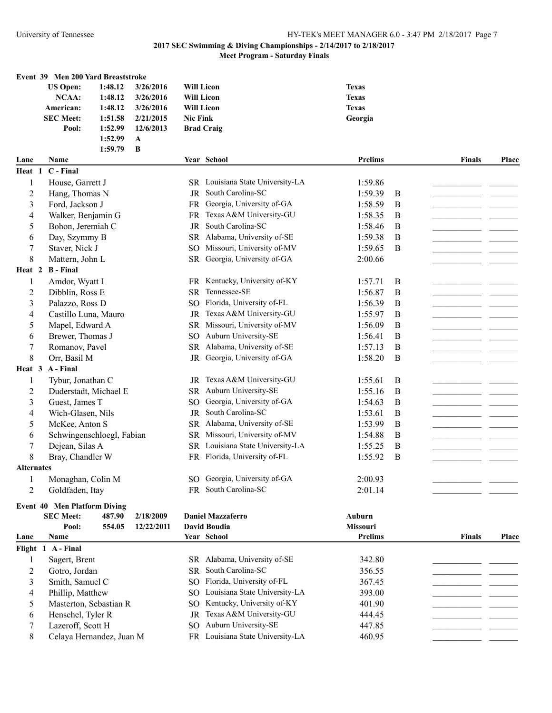## University of Tennessee HY-TEK's MEET MANAGER 6.0 - 3:47 PM 2/18/2017 Page 7

## **2017 SEC Swimming & Diving Championships - 2/14/2017 to 2/18/2017**

## **Meet Program - Saturday Finals**

|                         | Event 39 Men 200 Yard Breaststroke<br><b>US Open:</b> | 1:48.12 | 3/26/2016    | <b>Will Licon</b> |                                  | <b>Texas</b>   |          |               |       |
|-------------------------|-------------------------------------------------------|---------|--------------|-------------------|----------------------------------|----------------|----------|---------------|-------|
|                         | NCAA:                                                 | 1:48.12 | 3/26/2016    | <b>Will Licon</b> |                                  | <b>Texas</b>   |          |               |       |
|                         | American:                                             | 1:48.12 | 3/26/2016    | <b>Will Licon</b> |                                  | <b>Texas</b>   |          |               |       |
|                         | <b>SEC Meet:</b>                                      | 1:51.58 | 2/21/2015    | <b>Nic Fink</b>   |                                  | Georgia        |          |               |       |
|                         | Pool:                                                 | 1:52.99 | 12/6/2013    |                   | <b>Brad Craig</b>                |                |          |               |       |
|                         |                                                       | 1:52.99 | $\mathbf A$  |                   |                                  |                |          |               |       |
| Lane                    | Name                                                  | 1:59.79 | $\, {\bf B}$ |                   | Year School                      | <b>Prelims</b> |          | <b>Finals</b> | Place |
| Heat 1                  | C - Final                                             |         |              |                   |                                  |                |          |               |       |
| 1                       | House, Garrett J                                      |         |              |                   | SR Louisiana State University-LA | 1:59.86        |          |               |       |
| $\overline{c}$          | Hang, Thomas N                                        |         |              |                   | JR South Carolina-SC             | 1:59.39        | B        |               |       |
| 3                       | Ford, Jackson J                                       |         |              |                   | FR Georgia, University of-GA     | 1:58.59        | B        |               |       |
| 4                       | Walker, Benjamin G                                    |         |              |                   | FR Texas A&M University-GU       | 1:58.35        | B        |               |       |
| 5                       | Bohon, Jeremiah C                                     |         |              |                   | JR South Carolina-SC             | 1:58.46        | B        |               |       |
| 6                       | Day, Szymmy B                                         |         |              |                   | SR Alabama, University of-SE     | 1:59.38        | B        |               |       |
| $\boldsymbol{7}$        | Staver, Nick J                                        |         |              | SO.               | Missouri, University of-MV       | 1:59.65        | B        |               |       |
| 8                       | Mattern, John L                                       |         |              |                   | SR Georgia, University of-GA     | 2:00.66        |          |               |       |
| Heat 2                  | <b>B</b> - Final                                      |         |              |                   |                                  |                |          |               |       |
| 1                       | Amdor, Wyatt I                                        |         |              |                   | FR Kentucky, University of-KY    | 1:57.71        | B        |               |       |
|                         |                                                       |         |              |                   | SR Tennessee-SE                  |                |          |               |       |
| $\overline{c}$          | Dibblin, Ross E                                       |         |              |                   |                                  | 1:56.87        | B        |               |       |
| $\overline{\mathbf{3}}$ | Palazzo, Ross D                                       |         |              |                   | SO Florida, University of-FL     | 1:56.39        | B        |               |       |
| 4                       | Castillo Luna, Mauro                                  |         |              |                   | JR Texas A&M University-GU       | 1:55.97        | $\bf{B}$ |               |       |
| 5                       | Mapel, Edward A                                       |         |              |                   | SR Missouri, University of-MV    | 1:56.09        | $\bf{B}$ |               |       |
| 6                       | Brewer, Thomas J                                      |         |              |                   | SO Auburn University-SE          | 1:56.41        | B        |               |       |
| $\sqrt{ }$              | Romanov, Pavel                                        |         |              |                   | SR Alabama, University of-SE     | 1:57.13        | B        |               |       |
| 8                       | Orr, Basil M                                          |         |              |                   | JR Georgia, University of-GA     | 1:58.20        | B        |               |       |
| Heat 3                  | A - Final                                             |         |              |                   |                                  |                |          |               |       |
| 1                       | Tybur, Jonathan C                                     |         |              |                   | JR Texas A&M University-GU       | 1:55.61        | B        |               |       |
| $\overline{2}$          | Duderstadt, Michael E                                 |         |              |                   | SR Auburn University-SE          | 1:55.16        | B        |               |       |
| 3                       | Guest, James T                                        |         |              | SO.               | Georgia, University of-GA        | 1:54.63        | B        |               |       |
| 4                       | Wich-Glasen, Nils                                     |         |              | JR                | South Carolina-SC                | 1:53.61        | B        |               |       |
| 5                       | McKee, Anton S                                        |         |              |                   | SR Alabama, University of-SE     | 1:53.99        | B        |               |       |
| 6                       | Schwingenschloegl, Fabian                             |         |              |                   | SR Missouri, University of-MV    | 1:54.88        | B        |               |       |
| 7                       | Dejean, Silas A                                       |         |              |                   | SR Louisiana State University-LA | 1:55.25        | B        |               |       |
| 8                       | Bray, Chandler W                                      |         |              |                   | FR Florida, University of-FL     | 1:55.92        | B        |               |       |
| <b>Alternates</b>       |                                                       |         |              |                   |                                  |                |          |               |       |
| 1                       | Monaghan, Colin M                                     |         |              |                   | SO Georgia, University of-GA     | 2:00.93        |          |               |       |
| $\overline{2}$          | Goldfaden, Itay                                       |         |              |                   | FR South Carolina-SC             | 2:01.14        |          |               |       |
|                         | <b>Event 40 Men Platform Diving</b>                   |         |              |                   |                                  |                |          |               |       |
|                         | <b>SEC Meet:</b>                                      | 487.90  | 2/18/2009    |                   | <b>Daniel Mazzaferro</b>         | Auburn         |          |               |       |
|                         | Pool:                                                 | 554.05  | 12/22/2011   |                   | <b>David Boudia</b>              | Missouri       |          |               |       |
| Lane                    | Name                                                  |         |              |                   | Year School                      | Prelims        |          | <b>Finals</b> | Place |
|                         | Flight 1 A-Final                                      |         |              |                   |                                  |                |          |               |       |
| 1                       | Sagert, Brent                                         |         |              |                   | SR Alabama, University of-SE     | 342.80         |          |               |       |
| 2                       | Gotro, Jordan                                         |         |              |                   | SR South Carolina-SC             | 356.55         |          |               |       |
| 3                       | Smith, Samuel C                                       |         |              |                   | SO Florida, University of-FL     | 367.45         |          |               |       |
| 4                       | Phillip, Matthew                                      |         |              |                   | SO Louisiana State University-LA | 393.00         |          |               |       |
| 5                       | Masterton, Sebastian R                                |         |              | SO.               | Kentucky, University of-KY       | 401.90         |          |               |       |
|                         |                                                       |         |              |                   |                                  |                |          |               |       |
|                         | Lazeroff, Scott H                                     |         |              |                   | SO Auburn University-SE          | 447.85         |          |               |       |
| 7                       |                                                       |         |              |                   |                                  |                |          |               |       |
| 6                       | Henschel, Tyler R                                     |         |              | <b>JR</b>         | Texas A&M University-GU          | 444.45         |          |               |       |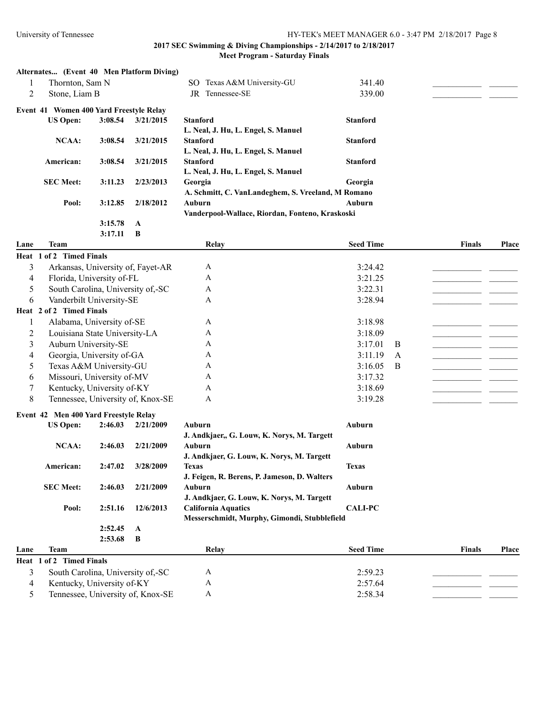| SO Texas A&M University-GU<br>Thornton, Sam N<br>341.40<br>1<br>$\overline{2}$<br>JR Tennessee-SE<br>Stone, Liam B<br>339.00<br>Event 41 Women 400 Yard Freestyle Relay<br>3:08.54<br>3/21/2015<br><b>Stanford</b><br><b>Stanford</b><br><b>US Open:</b><br>L. Neal, J. Hu, L. Engel, S. Manuel<br><b>NCAA:</b><br>3:08.54<br>3/21/2015<br><b>Stanford</b><br><b>Stanford</b><br>L. Neal, J. Hu, L. Engel, S. Manuel<br>American:<br>3:08.54<br><b>Stanford</b><br>3/21/2015<br><b>Stanford</b><br>L. Neal, J. Hu, L. Engel, S. Manuel<br><b>SEC Meet:</b><br>3:11.23<br>2/23/2013<br>Georgia<br>Georgia<br>A. Schmitt, C. VanLandeghem, S. Vreeland, M Romano<br>3:12.85<br>2/18/2012<br>Auburn<br>Pool:<br>Auburn<br>Vanderpool-Wallace, Riordan, Fonteno, Kraskoski<br>3:15.78<br>A<br>3:17.11<br>B<br><b>Team</b><br><b>Seed Time</b><br>Relay<br><b>Finals</b><br>Place<br>Lane<br>Heat 1 of 2 Timed Finals<br>3<br>Arkansas, University of, Fayet-AR<br>3:24.42<br>A<br>Florida, University of-FL<br>3:21.25<br>4<br>A<br>5<br>South Carolina, University of,-SC<br>3:22.31<br>A<br>Vanderbilt University-SE<br>3:28.94<br>6<br>A<br>Heat 2 of 2 Timed Finals<br>3:18.98<br>1<br>Alabama, University of-SE<br>A<br>Louisiana State University-LA<br>A<br>3:18.09<br>2<br>3<br>Auburn University-SE<br>3:17.01<br>A<br>B<br>Georgia, University of-GA<br>4<br>A<br>3:11.19<br>A<br>Texas A&M University-GU<br>5<br>3:16.05<br>A<br>B<br>Missouri, University of-MV<br>6<br>A<br>3:17.32<br>Kentucky, University of-KY<br>3:18.69<br>7<br>A<br>8<br>Tennessee, University of, Knox-SE<br>3:19.28<br>A<br>Event 42 Men 400 Yard Freestyle Relay<br>2:46.03<br>2/21/2009<br>Auburn<br><b>Auburn</b><br><b>US Open:</b><br>J. Andkjaer,, G. Louw, K. Norys, M. Targett<br><b>NCAA:</b><br>2/21/2009<br>Auburn<br>Auburn<br>2:46.03<br>J. Andkjaer, G. Louw, K. Norys, M. Targett<br>3/28/2009<br>2:47.02<br>American:<br>Texas<br><b>Texas</b><br>J. Feigen, R. Berens, P. Jameson, D. Walters<br><b>SEC Meet:</b><br>2/21/2009<br>Auburn<br>2:46.03<br>Auburn<br>J. Andkjaer, G. Louw, K. Norys, M. Targett<br><b>California Aquatics</b><br>Pool:<br>2:51.16<br>12/6/2013<br><b>CALI-PC</b><br>Messerschmidt, Murphy, Gimondi, Stubblefield<br>2:52.45<br>A<br>2:53.68<br>B<br><b>Team</b><br>Relay<br><b>Seed Time</b><br><b>Finals</b><br><b>Place</b><br>Lane<br>Heat 1 of 2 Timed Finals<br>3<br>South Carolina, University of,-SC<br>$\mathbf{A}$<br>2:59.23<br>Kentucky, University of-KY |   | Alternates (Event 40 Men Platform Diving) |  |   |         |  |  |
|----------------------------------------------------------------------------------------------------------------------------------------------------------------------------------------------------------------------------------------------------------------------------------------------------------------------------------------------------------------------------------------------------------------------------------------------------------------------------------------------------------------------------------------------------------------------------------------------------------------------------------------------------------------------------------------------------------------------------------------------------------------------------------------------------------------------------------------------------------------------------------------------------------------------------------------------------------------------------------------------------------------------------------------------------------------------------------------------------------------------------------------------------------------------------------------------------------------------------------------------------------------------------------------------------------------------------------------------------------------------------------------------------------------------------------------------------------------------------------------------------------------------------------------------------------------------------------------------------------------------------------------------------------------------------------------------------------------------------------------------------------------------------------------------------------------------------------------------------------------------------------------------------------------------------------------------------------------------------------------------------------------------------------------------------------------------------------------------------------------------------------------------------------------------------------------------------------------------------------------------------------------------------------------------------------------------------------------------------------------------------------------------------------------------------------------------------------------------------------------------------|---|-------------------------------------------|--|---|---------|--|--|
|                                                                                                                                                                                                                                                                                                                                                                                                                                                                                                                                                                                                                                                                                                                                                                                                                                                                                                                                                                                                                                                                                                                                                                                                                                                                                                                                                                                                                                                                                                                                                                                                                                                                                                                                                                                                                                                                                                                                                                                                                                                                                                                                                                                                                                                                                                                                                                                                                                                                                                    |   |                                           |  |   |         |  |  |
|                                                                                                                                                                                                                                                                                                                                                                                                                                                                                                                                                                                                                                                                                                                                                                                                                                                                                                                                                                                                                                                                                                                                                                                                                                                                                                                                                                                                                                                                                                                                                                                                                                                                                                                                                                                                                                                                                                                                                                                                                                                                                                                                                                                                                                                                                                                                                                                                                                                                                                    |   |                                           |  |   |         |  |  |
|                                                                                                                                                                                                                                                                                                                                                                                                                                                                                                                                                                                                                                                                                                                                                                                                                                                                                                                                                                                                                                                                                                                                                                                                                                                                                                                                                                                                                                                                                                                                                                                                                                                                                                                                                                                                                                                                                                                                                                                                                                                                                                                                                                                                                                                                                                                                                                                                                                                                                                    |   |                                           |  |   |         |  |  |
|                                                                                                                                                                                                                                                                                                                                                                                                                                                                                                                                                                                                                                                                                                                                                                                                                                                                                                                                                                                                                                                                                                                                                                                                                                                                                                                                                                                                                                                                                                                                                                                                                                                                                                                                                                                                                                                                                                                                                                                                                                                                                                                                                                                                                                                                                                                                                                                                                                                                                                    |   |                                           |  |   |         |  |  |
|                                                                                                                                                                                                                                                                                                                                                                                                                                                                                                                                                                                                                                                                                                                                                                                                                                                                                                                                                                                                                                                                                                                                                                                                                                                                                                                                                                                                                                                                                                                                                                                                                                                                                                                                                                                                                                                                                                                                                                                                                                                                                                                                                                                                                                                                                                                                                                                                                                                                                                    |   |                                           |  |   |         |  |  |
|                                                                                                                                                                                                                                                                                                                                                                                                                                                                                                                                                                                                                                                                                                                                                                                                                                                                                                                                                                                                                                                                                                                                                                                                                                                                                                                                                                                                                                                                                                                                                                                                                                                                                                                                                                                                                                                                                                                                                                                                                                                                                                                                                                                                                                                                                                                                                                                                                                                                                                    |   |                                           |  |   |         |  |  |
|                                                                                                                                                                                                                                                                                                                                                                                                                                                                                                                                                                                                                                                                                                                                                                                                                                                                                                                                                                                                                                                                                                                                                                                                                                                                                                                                                                                                                                                                                                                                                                                                                                                                                                                                                                                                                                                                                                                                                                                                                                                                                                                                                                                                                                                                                                                                                                                                                                                                                                    |   |                                           |  |   |         |  |  |
|                                                                                                                                                                                                                                                                                                                                                                                                                                                                                                                                                                                                                                                                                                                                                                                                                                                                                                                                                                                                                                                                                                                                                                                                                                                                                                                                                                                                                                                                                                                                                                                                                                                                                                                                                                                                                                                                                                                                                                                                                                                                                                                                                                                                                                                                                                                                                                                                                                                                                                    |   |                                           |  |   |         |  |  |
|                                                                                                                                                                                                                                                                                                                                                                                                                                                                                                                                                                                                                                                                                                                                                                                                                                                                                                                                                                                                                                                                                                                                                                                                                                                                                                                                                                                                                                                                                                                                                                                                                                                                                                                                                                                                                                                                                                                                                                                                                                                                                                                                                                                                                                                                                                                                                                                                                                                                                                    |   |                                           |  |   |         |  |  |
|                                                                                                                                                                                                                                                                                                                                                                                                                                                                                                                                                                                                                                                                                                                                                                                                                                                                                                                                                                                                                                                                                                                                                                                                                                                                                                                                                                                                                                                                                                                                                                                                                                                                                                                                                                                                                                                                                                                                                                                                                                                                                                                                                                                                                                                                                                                                                                                                                                                                                                    |   |                                           |  |   |         |  |  |
|                                                                                                                                                                                                                                                                                                                                                                                                                                                                                                                                                                                                                                                                                                                                                                                                                                                                                                                                                                                                                                                                                                                                                                                                                                                                                                                                                                                                                                                                                                                                                                                                                                                                                                                                                                                                                                                                                                                                                                                                                                                                                                                                                                                                                                                                                                                                                                                                                                                                                                    |   |                                           |  |   |         |  |  |
|                                                                                                                                                                                                                                                                                                                                                                                                                                                                                                                                                                                                                                                                                                                                                                                                                                                                                                                                                                                                                                                                                                                                                                                                                                                                                                                                                                                                                                                                                                                                                                                                                                                                                                                                                                                                                                                                                                                                                                                                                                                                                                                                                                                                                                                                                                                                                                                                                                                                                                    |   |                                           |  |   |         |  |  |
|                                                                                                                                                                                                                                                                                                                                                                                                                                                                                                                                                                                                                                                                                                                                                                                                                                                                                                                                                                                                                                                                                                                                                                                                                                                                                                                                                                                                                                                                                                                                                                                                                                                                                                                                                                                                                                                                                                                                                                                                                                                                                                                                                                                                                                                                                                                                                                                                                                                                                                    |   |                                           |  |   |         |  |  |
|                                                                                                                                                                                                                                                                                                                                                                                                                                                                                                                                                                                                                                                                                                                                                                                                                                                                                                                                                                                                                                                                                                                                                                                                                                                                                                                                                                                                                                                                                                                                                                                                                                                                                                                                                                                                                                                                                                                                                                                                                                                                                                                                                                                                                                                                                                                                                                                                                                                                                                    |   |                                           |  |   |         |  |  |
|                                                                                                                                                                                                                                                                                                                                                                                                                                                                                                                                                                                                                                                                                                                                                                                                                                                                                                                                                                                                                                                                                                                                                                                                                                                                                                                                                                                                                                                                                                                                                                                                                                                                                                                                                                                                                                                                                                                                                                                                                                                                                                                                                                                                                                                                                                                                                                                                                                                                                                    |   |                                           |  |   |         |  |  |
|                                                                                                                                                                                                                                                                                                                                                                                                                                                                                                                                                                                                                                                                                                                                                                                                                                                                                                                                                                                                                                                                                                                                                                                                                                                                                                                                                                                                                                                                                                                                                                                                                                                                                                                                                                                                                                                                                                                                                                                                                                                                                                                                                                                                                                                                                                                                                                                                                                                                                                    |   |                                           |  |   |         |  |  |
|                                                                                                                                                                                                                                                                                                                                                                                                                                                                                                                                                                                                                                                                                                                                                                                                                                                                                                                                                                                                                                                                                                                                                                                                                                                                                                                                                                                                                                                                                                                                                                                                                                                                                                                                                                                                                                                                                                                                                                                                                                                                                                                                                                                                                                                                                                                                                                                                                                                                                                    |   |                                           |  |   |         |  |  |
|                                                                                                                                                                                                                                                                                                                                                                                                                                                                                                                                                                                                                                                                                                                                                                                                                                                                                                                                                                                                                                                                                                                                                                                                                                                                                                                                                                                                                                                                                                                                                                                                                                                                                                                                                                                                                                                                                                                                                                                                                                                                                                                                                                                                                                                                                                                                                                                                                                                                                                    |   |                                           |  |   |         |  |  |
|                                                                                                                                                                                                                                                                                                                                                                                                                                                                                                                                                                                                                                                                                                                                                                                                                                                                                                                                                                                                                                                                                                                                                                                                                                                                                                                                                                                                                                                                                                                                                                                                                                                                                                                                                                                                                                                                                                                                                                                                                                                                                                                                                                                                                                                                                                                                                                                                                                                                                                    |   |                                           |  |   |         |  |  |
|                                                                                                                                                                                                                                                                                                                                                                                                                                                                                                                                                                                                                                                                                                                                                                                                                                                                                                                                                                                                                                                                                                                                                                                                                                                                                                                                                                                                                                                                                                                                                                                                                                                                                                                                                                                                                                                                                                                                                                                                                                                                                                                                                                                                                                                                                                                                                                                                                                                                                                    |   |                                           |  |   |         |  |  |
|                                                                                                                                                                                                                                                                                                                                                                                                                                                                                                                                                                                                                                                                                                                                                                                                                                                                                                                                                                                                                                                                                                                                                                                                                                                                                                                                                                                                                                                                                                                                                                                                                                                                                                                                                                                                                                                                                                                                                                                                                                                                                                                                                                                                                                                                                                                                                                                                                                                                                                    |   |                                           |  |   |         |  |  |
|                                                                                                                                                                                                                                                                                                                                                                                                                                                                                                                                                                                                                                                                                                                                                                                                                                                                                                                                                                                                                                                                                                                                                                                                                                                                                                                                                                                                                                                                                                                                                                                                                                                                                                                                                                                                                                                                                                                                                                                                                                                                                                                                                                                                                                                                                                                                                                                                                                                                                                    |   |                                           |  |   |         |  |  |
|                                                                                                                                                                                                                                                                                                                                                                                                                                                                                                                                                                                                                                                                                                                                                                                                                                                                                                                                                                                                                                                                                                                                                                                                                                                                                                                                                                                                                                                                                                                                                                                                                                                                                                                                                                                                                                                                                                                                                                                                                                                                                                                                                                                                                                                                                                                                                                                                                                                                                                    |   |                                           |  |   |         |  |  |
|                                                                                                                                                                                                                                                                                                                                                                                                                                                                                                                                                                                                                                                                                                                                                                                                                                                                                                                                                                                                                                                                                                                                                                                                                                                                                                                                                                                                                                                                                                                                                                                                                                                                                                                                                                                                                                                                                                                                                                                                                                                                                                                                                                                                                                                                                                                                                                                                                                                                                                    |   |                                           |  |   |         |  |  |
|                                                                                                                                                                                                                                                                                                                                                                                                                                                                                                                                                                                                                                                                                                                                                                                                                                                                                                                                                                                                                                                                                                                                                                                                                                                                                                                                                                                                                                                                                                                                                                                                                                                                                                                                                                                                                                                                                                                                                                                                                                                                                                                                                                                                                                                                                                                                                                                                                                                                                                    |   |                                           |  |   |         |  |  |
|                                                                                                                                                                                                                                                                                                                                                                                                                                                                                                                                                                                                                                                                                                                                                                                                                                                                                                                                                                                                                                                                                                                                                                                                                                                                                                                                                                                                                                                                                                                                                                                                                                                                                                                                                                                                                                                                                                                                                                                                                                                                                                                                                                                                                                                                                                                                                                                                                                                                                                    |   |                                           |  |   |         |  |  |
|                                                                                                                                                                                                                                                                                                                                                                                                                                                                                                                                                                                                                                                                                                                                                                                                                                                                                                                                                                                                                                                                                                                                                                                                                                                                                                                                                                                                                                                                                                                                                                                                                                                                                                                                                                                                                                                                                                                                                                                                                                                                                                                                                                                                                                                                                                                                                                                                                                                                                                    |   |                                           |  |   |         |  |  |
|                                                                                                                                                                                                                                                                                                                                                                                                                                                                                                                                                                                                                                                                                                                                                                                                                                                                                                                                                                                                                                                                                                                                                                                                                                                                                                                                                                                                                                                                                                                                                                                                                                                                                                                                                                                                                                                                                                                                                                                                                                                                                                                                                                                                                                                                                                                                                                                                                                                                                                    |   |                                           |  |   |         |  |  |
|                                                                                                                                                                                                                                                                                                                                                                                                                                                                                                                                                                                                                                                                                                                                                                                                                                                                                                                                                                                                                                                                                                                                                                                                                                                                                                                                                                                                                                                                                                                                                                                                                                                                                                                                                                                                                                                                                                                                                                                                                                                                                                                                                                                                                                                                                                                                                                                                                                                                                                    |   |                                           |  |   |         |  |  |
|                                                                                                                                                                                                                                                                                                                                                                                                                                                                                                                                                                                                                                                                                                                                                                                                                                                                                                                                                                                                                                                                                                                                                                                                                                                                                                                                                                                                                                                                                                                                                                                                                                                                                                                                                                                                                                                                                                                                                                                                                                                                                                                                                                                                                                                                                                                                                                                                                                                                                                    |   |                                           |  |   |         |  |  |
|                                                                                                                                                                                                                                                                                                                                                                                                                                                                                                                                                                                                                                                                                                                                                                                                                                                                                                                                                                                                                                                                                                                                                                                                                                                                                                                                                                                                                                                                                                                                                                                                                                                                                                                                                                                                                                                                                                                                                                                                                                                                                                                                                                                                                                                                                                                                                                                                                                                                                                    |   |                                           |  |   |         |  |  |
|                                                                                                                                                                                                                                                                                                                                                                                                                                                                                                                                                                                                                                                                                                                                                                                                                                                                                                                                                                                                                                                                                                                                                                                                                                                                                                                                                                                                                                                                                                                                                                                                                                                                                                                                                                                                                                                                                                                                                                                                                                                                                                                                                                                                                                                                                                                                                                                                                                                                                                    |   |                                           |  |   |         |  |  |
|                                                                                                                                                                                                                                                                                                                                                                                                                                                                                                                                                                                                                                                                                                                                                                                                                                                                                                                                                                                                                                                                                                                                                                                                                                                                                                                                                                                                                                                                                                                                                                                                                                                                                                                                                                                                                                                                                                                                                                                                                                                                                                                                                                                                                                                                                                                                                                                                                                                                                                    |   |                                           |  |   |         |  |  |
|                                                                                                                                                                                                                                                                                                                                                                                                                                                                                                                                                                                                                                                                                                                                                                                                                                                                                                                                                                                                                                                                                                                                                                                                                                                                                                                                                                                                                                                                                                                                                                                                                                                                                                                                                                                                                                                                                                                                                                                                                                                                                                                                                                                                                                                                                                                                                                                                                                                                                                    |   |                                           |  |   |         |  |  |
|                                                                                                                                                                                                                                                                                                                                                                                                                                                                                                                                                                                                                                                                                                                                                                                                                                                                                                                                                                                                                                                                                                                                                                                                                                                                                                                                                                                                                                                                                                                                                                                                                                                                                                                                                                                                                                                                                                                                                                                                                                                                                                                                                                                                                                                                                                                                                                                                                                                                                                    |   |                                           |  |   |         |  |  |
|                                                                                                                                                                                                                                                                                                                                                                                                                                                                                                                                                                                                                                                                                                                                                                                                                                                                                                                                                                                                                                                                                                                                                                                                                                                                                                                                                                                                                                                                                                                                                                                                                                                                                                                                                                                                                                                                                                                                                                                                                                                                                                                                                                                                                                                                                                                                                                                                                                                                                                    |   |                                           |  |   |         |  |  |
|                                                                                                                                                                                                                                                                                                                                                                                                                                                                                                                                                                                                                                                                                                                                                                                                                                                                                                                                                                                                                                                                                                                                                                                                                                                                                                                                                                                                                                                                                                                                                                                                                                                                                                                                                                                                                                                                                                                                                                                                                                                                                                                                                                                                                                                                                                                                                                                                                                                                                                    |   |                                           |  |   |         |  |  |
|                                                                                                                                                                                                                                                                                                                                                                                                                                                                                                                                                                                                                                                                                                                                                                                                                                                                                                                                                                                                                                                                                                                                                                                                                                                                                                                                                                                                                                                                                                                                                                                                                                                                                                                                                                                                                                                                                                                                                                                                                                                                                                                                                                                                                                                                                                                                                                                                                                                                                                    |   |                                           |  |   |         |  |  |
|                                                                                                                                                                                                                                                                                                                                                                                                                                                                                                                                                                                                                                                                                                                                                                                                                                                                                                                                                                                                                                                                                                                                                                                                                                                                                                                                                                                                                                                                                                                                                                                                                                                                                                                                                                                                                                                                                                                                                                                                                                                                                                                                                                                                                                                                                                                                                                                                                                                                                                    |   |                                           |  |   |         |  |  |
|                                                                                                                                                                                                                                                                                                                                                                                                                                                                                                                                                                                                                                                                                                                                                                                                                                                                                                                                                                                                                                                                                                                                                                                                                                                                                                                                                                                                                                                                                                                                                                                                                                                                                                                                                                                                                                                                                                                                                                                                                                                                                                                                                                                                                                                                                                                                                                                                                                                                                                    |   |                                           |  |   |         |  |  |
|                                                                                                                                                                                                                                                                                                                                                                                                                                                                                                                                                                                                                                                                                                                                                                                                                                                                                                                                                                                                                                                                                                                                                                                                                                                                                                                                                                                                                                                                                                                                                                                                                                                                                                                                                                                                                                                                                                                                                                                                                                                                                                                                                                                                                                                                                                                                                                                                                                                                                                    |   |                                           |  |   |         |  |  |
|                                                                                                                                                                                                                                                                                                                                                                                                                                                                                                                                                                                                                                                                                                                                                                                                                                                                                                                                                                                                                                                                                                                                                                                                                                                                                                                                                                                                                                                                                                                                                                                                                                                                                                                                                                                                                                                                                                                                                                                                                                                                                                                                                                                                                                                                                                                                                                                                                                                                                                    |   |                                           |  |   |         |  |  |
|                                                                                                                                                                                                                                                                                                                                                                                                                                                                                                                                                                                                                                                                                                                                                                                                                                                                                                                                                                                                                                                                                                                                                                                                                                                                                                                                                                                                                                                                                                                                                                                                                                                                                                                                                                                                                                                                                                                                                                                                                                                                                                                                                                                                                                                                                                                                                                                                                                                                                                    |   |                                           |  |   |         |  |  |
|                                                                                                                                                                                                                                                                                                                                                                                                                                                                                                                                                                                                                                                                                                                                                                                                                                                                                                                                                                                                                                                                                                                                                                                                                                                                                                                                                                                                                                                                                                                                                                                                                                                                                                                                                                                                                                                                                                                                                                                                                                                                                                                                                                                                                                                                                                                                                                                                                                                                                                    |   |                                           |  |   |         |  |  |
|                                                                                                                                                                                                                                                                                                                                                                                                                                                                                                                                                                                                                                                                                                                                                                                                                                                                                                                                                                                                                                                                                                                                                                                                                                                                                                                                                                                                                                                                                                                                                                                                                                                                                                                                                                                                                                                                                                                                                                                                                                                                                                                                                                                                                                                                                                                                                                                                                                                                                                    |   |                                           |  |   |         |  |  |
|                                                                                                                                                                                                                                                                                                                                                                                                                                                                                                                                                                                                                                                                                                                                                                                                                                                                                                                                                                                                                                                                                                                                                                                                                                                                                                                                                                                                                                                                                                                                                                                                                                                                                                                                                                                                                                                                                                                                                                                                                                                                                                                                                                                                                                                                                                                                                                                                                                                                                                    |   |                                           |  |   |         |  |  |
|                                                                                                                                                                                                                                                                                                                                                                                                                                                                                                                                                                                                                                                                                                                                                                                                                                                                                                                                                                                                                                                                                                                                                                                                                                                                                                                                                                                                                                                                                                                                                                                                                                                                                                                                                                                                                                                                                                                                                                                                                                                                                                                                                                                                                                                                                                                                                                                                                                                                                                    |   |                                           |  |   |         |  |  |
|                                                                                                                                                                                                                                                                                                                                                                                                                                                                                                                                                                                                                                                                                                                                                                                                                                                                                                                                                                                                                                                                                                                                                                                                                                                                                                                                                                                                                                                                                                                                                                                                                                                                                                                                                                                                                                                                                                                                                                                                                                                                                                                                                                                                                                                                                                                                                                                                                                                                                                    | 4 |                                           |  | A | 2:57.64 |  |  |
| Tennessee, University of, Knox-SE<br>5                                                                                                                                                                                                                                                                                                                                                                                                                                                                                                                                                                                                                                                                                                                                                                                                                                                                                                                                                                                                                                                                                                                                                                                                                                                                                                                                                                                                                                                                                                                                                                                                                                                                                                                                                                                                                                                                                                                                                                                                                                                                                                                                                                                                                                                                                                                                                                                                                                                             |   |                                           |  | A | 2:58.34 |  |  |